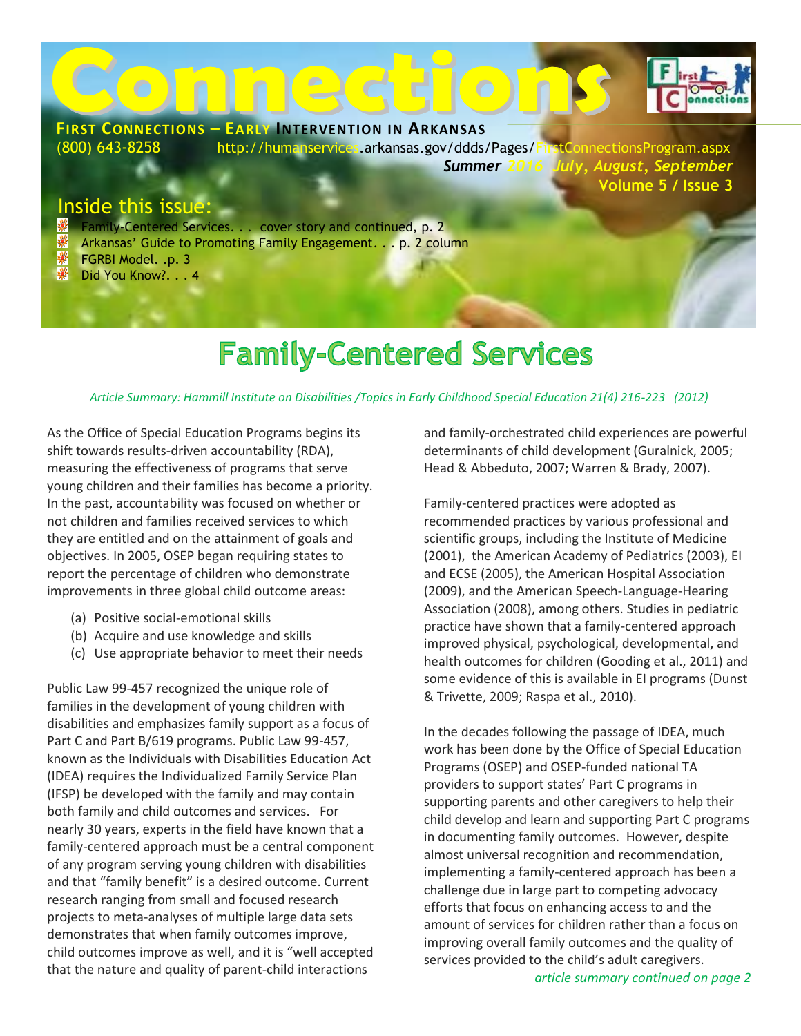

# **Family-Centered Services**

#### *Article Summary: Hammill Institute on Disabilities /Topics in Early Childhood Special Education 21(4) 216-223 (2012)*

As the Office of Special Education Programs begins its shift towards results-driven accountability (RDA), measuring the effectiveness of programs that serve young children and their families has become a priority. In the past, accountability was focused on whether or not children and families received services to which they are entitled and on the attainment of goals and objectives. In 2005, OSEP began requiring states to report the percentage of children who demonstrate improvements in three global child outcome areas:

- (a) Positive social-emotional skills
- (b) Acquire and use knowledge and skills
- (c) Use appropriate behavior to meet their needs

Public Law 99-457 recognized the unique role of families in the development of young children with disabilities and emphasizes family support as a focus of Part C and Part B/619 programs. Public Law 99-457, known as the Individuals with Disabilities Education Act (IDEA) requires the Individualized Family Service Plan (IFSP) be developed with the family and may contain both family and child outcomes and services. For nearly 30 years, experts in the field have known that a family-centered approach must be a central component of any program serving young children with disabilities and that "family benefit" is a desired outcome. Current research ranging from small and focused research projects to meta-analyses of multiple large data sets demonstrates that when family outcomes improve, child outcomes improve as well, and it is "well accepted that the nature and quality of parent-child interactions

and family-orchestrated child experiences are powerful determinants of child development (Guralnick, 2005; Head & Abbeduto, 2007; Warren & Brady, 2007).

Family-centered practices were adopted as recommended practices by various professional and scientific groups, including the Institute of Medicine (2001), the American Academy of Pediatrics (2003), EI and ECSE (2005), the American Hospital Association (2009), and the American Speech-Language-Hearing Association (2008), among others. Studies in pediatric practice have shown that a family-centered approach improved physical, psychological, developmental, and health outcomes for children (Gooding et al., 2011) and some evidence of this is available in EI programs (Dunst & Trivette, 2009; Raspa et al., 2010).

In the decades following the passage of IDEA, much work has been done by the Office of Special Education Programs (OSEP) and OSEP-funded national TA providers to support states' Part C programs in supporting parents and other caregivers to help their child develop and learn and supporting Part C programs in documenting family outcomes. However, despite almost universal recognition and recommendation, implementing a family-centered approach has been a challenge due in large part to competing advocacy efforts that focus on enhancing access to and the amount of services for children rather than a focus on improving overall family outcomes and the quality of services provided to the child's adult caregivers.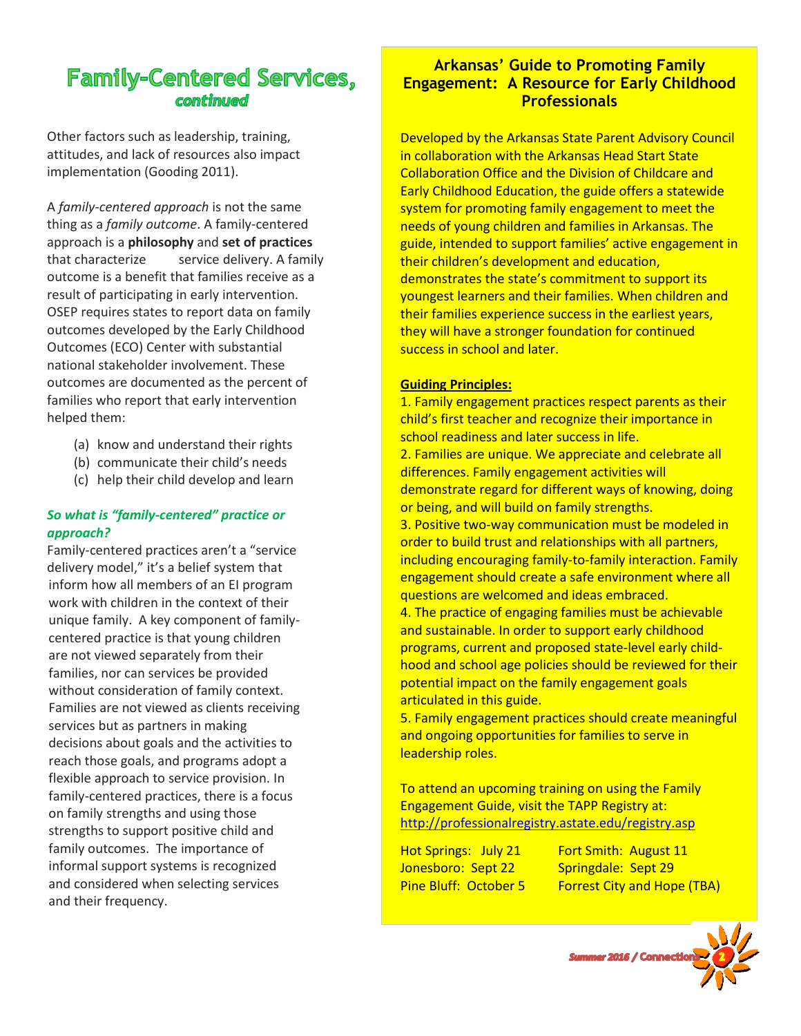# **Family-Centered Services,** continued

Other factors such as leadership, training, attitudes, and lack of resources also impact implementation (Gooding 2011).

A *family-centered approach* is not the same thing as a *family outcome*. A family-centered approach is a **philosophy** and **set of practices** that characterizeservice delivery. A family outcome is a benefit that families receive as a result of participating in early intervention. OSEP requires states to report data on family outcomes developed by the Early Childhood Outcomes (ECO) Center with substantial national stakeholder involvement. These outcomes are documented as the percent of families who report that early intervention helped them:

- (a) know and understand their rights
- (b) communicate their child's needs
- (c) help their child develop and learn

#### *So what is "family-centered" practice or approach?*

Family-centered practices aren't a "service delivery model," it's a belief system that inform how all members of an EI program work with children in the context of their unique family. A key component of familycentered practice is that young children are not viewed separately from their families, nor can services be provided without consideration of family context. Families are not viewed as clients receiving services but as partners in making decisions about goals and the activities to reach those goals, and programs adopt a flexible approach to service provision. In family-centered practices, there is a focus on family strengths and using those strengths to support positive child and family outcomes. The importance of informal support systems is recognized and considered when selecting services and their frequency.

#### **Arkansas' Guide to Promoting Family Existence Controllection** in the context of the context of the context of the context of the context of the context of the context of the context of the context of the context of the context of the context of the context **Engagement: A Resource for Early Childhood** processionals children are not viewed children are not viewed and viewed  $\mathbf{r}$ **Professionals**

separately from their families, nor can services Developed by the Arkansas State Parent Advisory Council in collaboration with the Arkansas Head Start State Collaboration Office and the Division of Childcare and<br>
— Early Childhood Education, the guide offers a statewide system for promoting family engagement to meet the<br>needs of young children and families in Arkansas. The guide, intended to support families' active engagement in their children's development and education, demonstrates the state's commitment to support its youngest learners and their families. When children and their families experience success in the earliest years, they will have a stronger foundation for continued success in school and later.

#### **Guiding Principles:**

2. Families are unique. We appreciate and celebrate all<br>2. Families are unique. We appreciate and celebrate all differences. Family engagement activities will demonstrate regard for different ways of knowing, doing or being, and will build on family strengths. 1. Family engagement practices respect parents as their child's first teacher and recognize their importance in school readiness and later success in life.

3. Positive two-way communication must be modeled in order to build trust and relationships with all partners, including encouraging family-to-family interaction. Family engagement should create a safe environment where all questions are welcomed and ideas embraced.

4. The practice of engaging families must be achievable and sustainable. In order to support early childhood programs, current and proposed state-level early childhood and school age policies should be reviewed for their potential impact on the family engagement goals articulated in this guide.

5. Family engagement practices should create meaningful and ongoing opportunities for families to serve in leadership roles.

To attend an upcoming training on using the Family Engagement Guide, visit the TAPP Registry at: <http://professionalregistry.astate.edu/registry.asp>

Jonesboro: Sept 22 Springdale: Sept 29

Hot Springs: July 21 Fort Smith: August 11 Pine Bluff: October 5 Forrest City and Hope (TBA)

Summer 2016 / Connec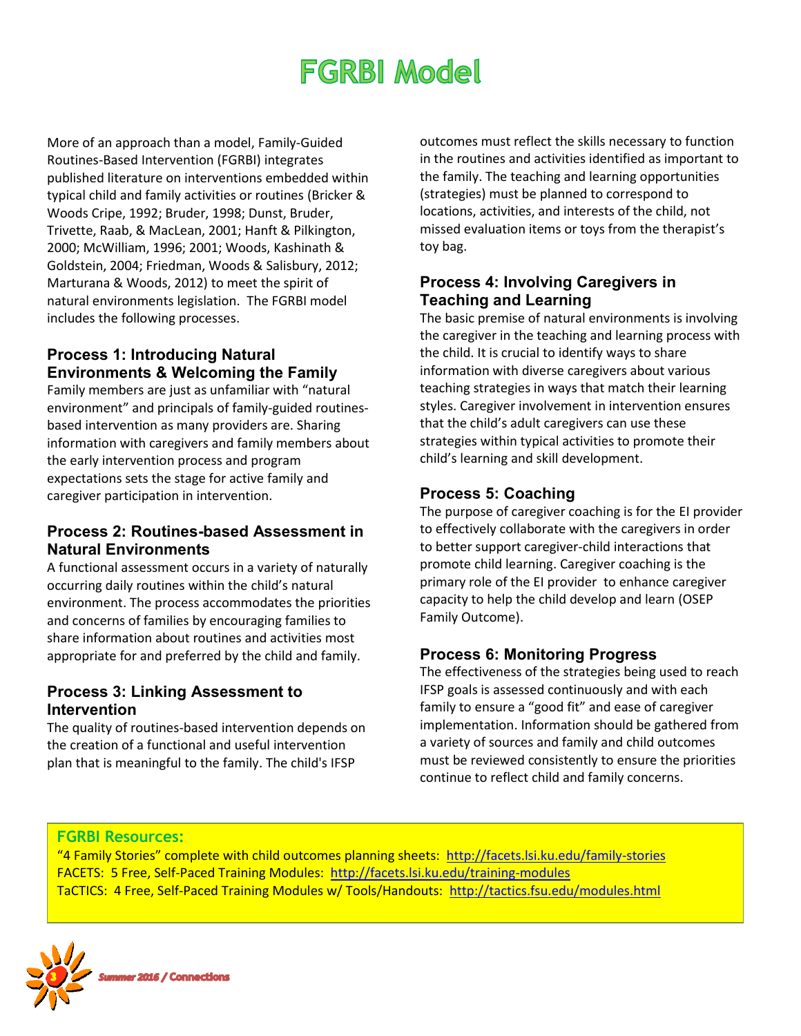# **FGRBI Model**

More of an approach than a model, Family-Guided Routines-Based Intervention (FGRBI) integrates published literature on interventions embedded within typical child and family activities or routines (Bricker & Woods Cripe, 1992; Bruder, 1998; Dunst, Bruder, Trivette, Raab, & MacLean, 2001; Hanft & Pilkington, 2000; McWilliam, 1996; 2001; Woods, Kashinath & Goldstein, 2004; Friedman, Woods & Salisbury, 2012; Marturana & Woods, 2012) to meet the spirit of natural environments legislation. The FGRBI model includes the following processes.

### **Process 1: Introducing Natural Environments & Welcoming the Family**

Family members are just as unfamiliar with "natural environment" and principals of family-guided routinesbased intervention as many providers are. Sharing information with caregivers and family members about the early intervention process and program expectations sets the stage for active family and caregiver participation in intervention.

### **Process 2: Routines-based Assessment in Natural Environments**

A functional assessment occurs in a variety of naturally occurring daily routines within the child's natural environment. The process accommodates the priorities and concerns of families by encouraging families to share information about routines and activities most appropriate for and preferred by the child and family.

### **Process 3: Linking Assessment to Intervention**

The quality of routines-based intervention depends on the creation of a functional and useful intervention plan that is meaningful to the family. The child's IFSP

outcomes must reflect the skills necessary to function in the routines and activities identified as important to the family. The teaching and learning opportunities (strategies) must be planned to correspond to locations, activities, and interests of the child, not missed evaluation items or toys from the therapist's toy bag.

#### **Process 4: Involving Caregivers in Teaching and Learning**

The basic premise of natural environments is involving the caregiver in the teaching and learning process with the child. It is crucial to identify ways to share information with diverse caregivers about various teaching strategies in ways that match their learning styles. Caregiver involvement in intervention ensures that the child's adult caregivers can use these strategies within typical activities to promote their child's learning and skill development.

### **Process 5: Coaching**

The purpose of caregiver coaching is for the EI provider to effectively collaborate with the caregivers in order to better support caregiver-child interactions that promote child learning. Caregiver coaching is the primary role of the EI provider to enhance caregiver capacity to help the child develop and learn (OSEP Family Outcome).

## **Process 6: Monitoring Progress**

The effectiveness of the strategies being used to reach IFSP goals is assessed continuously and with each family to ensure a "good fit" and ease of caregiver implementation. Information should be gathered from a variety of sources and family and child outcomes must be reviewed consistently to ensure the priorities continue to reflect child and family concerns.

#### **FGRBI Resources:**

"4 Family Stories" complete with child outcomes planning sheets: <http://facets.lsi.ku.edu/family-stories> FACETS: 5 Free, Self-Paced Training Modules:<http://facets.lsi.ku.edu/training-modules> TaCTICS: 4 Free, Self-Paced Training Modules w/ Tools/Handouts:<http://tactics.fsu.edu/modules.html>